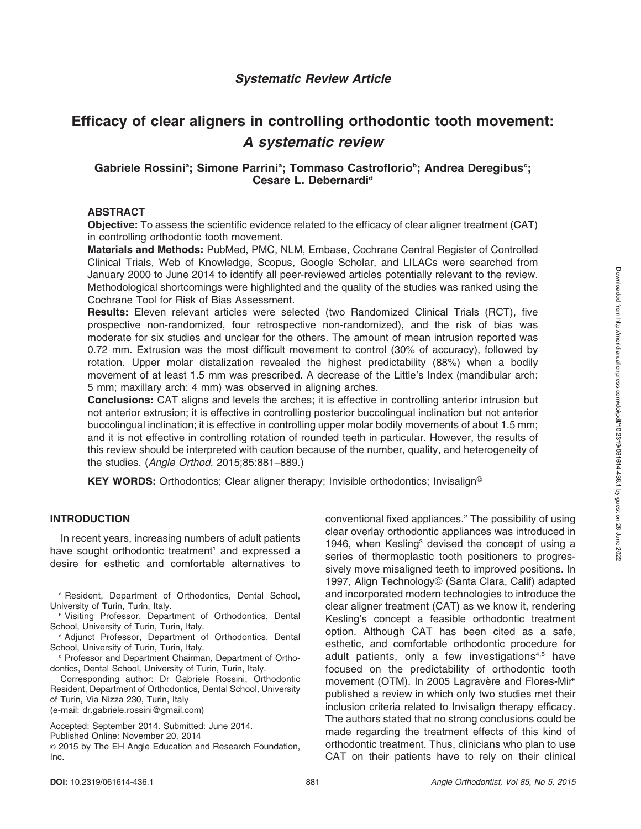# Efficacy of clear aligners in controlling orthodontic tooth movement: A systematic review

## Gabriele Rossini<sup>a</sup>; Simone Parrini<sup>a</sup>; Tommaso Castroflorio<sup>b</sup>; Andrea Deregibus<sup>c</sup>; Cesare L. Debernardi<sup>d</sup>

#### ABSTRACT

Objective: To assess the scientific evidence related to the efficacy of clear aligner treatment (CAT) in controlling orthodontic tooth movement.

Materials and Methods: PubMed, PMC, NLM, Embase, Cochrane Central Register of Controlled Clinical Trials, Web of Knowledge, Scopus, Google Scholar, and LILACs were searched from January 2000 to June 2014 to identify all peer-reviewed articles potentially relevant to the review. Methodological shortcomings were highlighted and the quality of the studies was ranked using the Cochrane Tool for Risk of Bias Assessment.

Results: Eleven relevant articles were selected (two Randomized Clinical Trials (RCT), five prospective non-randomized, four retrospective non-randomized), and the risk of bias was moderate for six studies and unclear for the others. The amount of mean intrusion reported was 0.72 mm. Extrusion was the most difficult movement to control (30% of accuracy), followed by rotation. Upper molar distalization revealed the highest predictability (88%) when a bodily movement of at least 1.5 mm was prescribed. A decrease of the Little's Index (mandibular arch: 5 mm; maxillary arch: 4 mm) was observed in aligning arches.

Conclusions: CAT aligns and levels the arches; it is effective in controlling anterior intrusion but not anterior extrusion; it is effective in controlling posterior buccolingual inclination but not anterior buccolingual inclination; it is effective in controlling upper molar bodily movements of about 1.5 mm; and it is not effective in controlling rotation of rounded teeth in particular. However, the results of this review should be interpreted with caution because of the number, quality, and heterogeneity of the studies. (Angle Orthod. 2015;85:881–889.)

**KEY WORDS:** Orthodontics; Clear aligner therapy; Invisible orthodontics; Invisalign<sup>®</sup>

#### INTRODUCTION

In recent years, increasing numbers of adult patients have sought orthodontic treatment<sup>1</sup> and expressed a desire for esthetic and comfortable alternatives to

Corresponding author: Dr Gabriele Rossini, Orthodontic Resident, Department of Orthodontics, Dental School, University of Turin, Via Nizza 230, Turin, Italy (e-mail: dr.gabriele.rossini@gmail.com)

conventional fixed appliances.2 The possibility of using clear overlay orthodontic appliances was introduced in 1946, when Kesling<sup>3</sup> devised the concept of using a series of thermoplastic tooth positioners to progressively move misaligned teeth to improved positions. In 1997, Align Technology© (Santa Clara, Calif) adapted and incorporated modern technologies to introduce the clear aligner treatment (CAT) as we know it, rendering Kesling's concept a feasible orthodontic treatment option. Although CAT has been cited as a safe, esthetic, and comfortable orthodontic procedure for adult patients, only a few investigations<sup>4,5</sup> have focused on the predictability of orthodontic tooth movement (OTM). In 2005 Lagravère and Flores-Mir<sup>6</sup> published a review in which only two studies met their inclusion criteria related to Invisalign therapy efficacy. The authors stated that no strong conclusions could be made regarding the treatment effects of this kind of orthodontic treatment. Thus, clinicians who plan to use CAT on their patients have to rely on their clinical

<sup>a</sup> Resident, Department of Orthodontics, Dental School, University of Turin, Turin, Italy.

**b Visiting Professor, Department of Orthodontics, Dental** School, University of Turin, Turin, Italy.

<sup>c</sup> Adjunct Professor, Department of Orthodontics, Dental School, University of Turin, Turin, Italy.

<sup>d</sup> Professor and Department Chairman, Department of Orthodontics, Dental School, University of Turin, Turin, Italy.

Accepted: September 2014. Submitted: June 2014.

Published Online: November 20, 2014

<sup>G</sup> 2015 by The EH Angle Education and Research Foundation, Inc.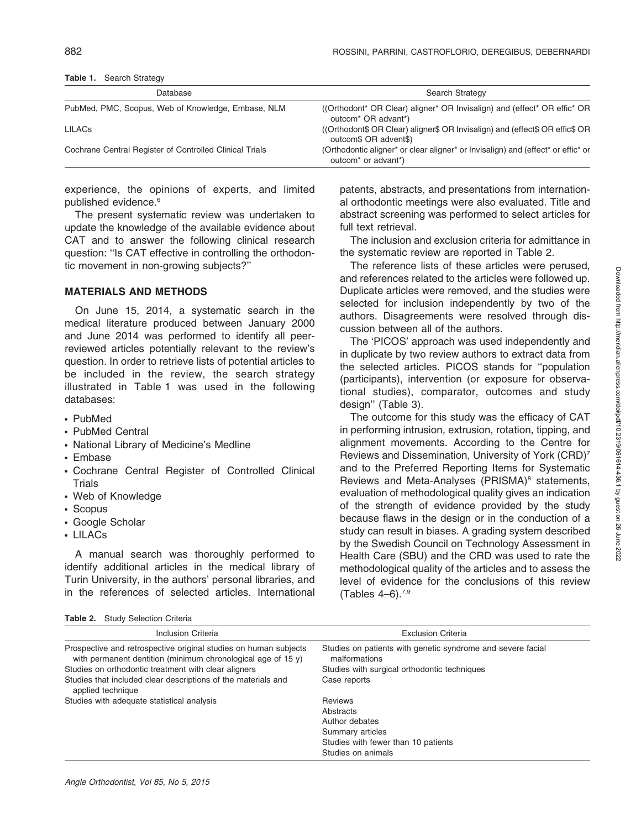| Database                                                | Search Strategy                                                                                                                  |
|---------------------------------------------------------|----------------------------------------------------------------------------------------------------------------------------------|
| PubMed, PMC, Scopus, Web of Knowledge, Embase, NLM      | (Orthodont* OR Clear) aligner* OR Invisalign) and (effect* OR effic* OR<br>outcom <sup>*</sup> OR advant <sup>*</sup> )          |
| <b>LILAC<sub>S</sub></b>                                | ((Orthodont\$ OR Clear) aligner\$ OR Invisalign) and (effect\$ OR effic\$ OR<br>outcom\$ OR advent\$)                            |
| Cochrane Central Register of Controlled Clinical Trials | (Orthodontic aligner* or clear aligner* or Invisalign) and (effect* or effic* or<br>outcom <sup>*</sup> or advant <sup>*</sup> ) |

Table 1. Search Strategy

experience, the opinions of experts, and limited published evidence.<sup>6</sup>

The present systematic review was undertaken to update the knowledge of the available evidence about CAT and to answer the following clinical research question: ''Is CAT effective in controlling the orthodontic movement in non-growing subjects?''

#### MATERIALS AND METHODS

On June 15, 2014, a systematic search in the medical literature produced between January 2000 and June 2014 was performed to identify all peerreviewed articles potentially relevant to the review's question. In order to retrieve lists of potential articles to be included in the review, the search strategy illustrated in Table 1 was used in the following databases:

- N PubMed
- PubMed Central
- National Library of Medicine's Medline
- Embase
- Cochrane Central Register of Controlled Clinical **Trials**
- Web of Knowledge
- Scopus
- Google Scholar
- $\cdot$  LILACs

A manual search was thoroughly performed to identify additional articles in the medical library of Turin University, in the authors' personal libraries, and in the references of selected articles. International

|  | Table 2. Study Selection Criteria |  |  |  |
|--|-----------------------------------|--|--|--|
|--|-----------------------------------|--|--|--|

patents, abstracts, and presentations from international orthodontic meetings were also evaluated. Title and abstract screening was performed to select articles for full text retrieval.

The inclusion and exclusion criteria for admittance in the systematic review are reported in Table 2.

The reference lists of these articles were perused, and references related to the articles were followed up. Duplicate articles were removed, and the studies were selected for inclusion independently by two of the authors. Disagreements were resolved through discussion between all of the authors.

The 'PICOS' approach was used independently and in duplicate by two review authors to extract data from the selected articles. PICOS stands for ''population (participants), intervention (or exposure for observational studies), comparator, outcomes and study design'' (Table 3).

The outcome for this study was the efficacy of CAT in performing intrusion, extrusion, rotation, tipping, and alignment movements. According to the Centre for Reviews and Dissemination, University of York (CRD)7 and to the Preferred Reporting Items for Systematic Reviews and Meta-Analyses (PRISMA)<sup>8</sup> statements, evaluation of methodological quality gives an indication of the strength of evidence provided by the study because flaws in the design or in the conduction of a study can result in biases. A grading system described by the Swedish Council on Technology Assessment in Health Care (SBU) and the CRD was used to rate the methodological quality of the articles and to assess the level of evidence for the conclusions of this review (Tables  $4-6$ ).<sup>7,9</sup>

| Inclusion Criteria                                                                                                                                                                                                                                                             | <b>Exclusion Criteria</b>                                                                                                                    |
|--------------------------------------------------------------------------------------------------------------------------------------------------------------------------------------------------------------------------------------------------------------------------------|----------------------------------------------------------------------------------------------------------------------------------------------|
| Prospective and retrospective original studies on human subjects<br>with permanent dentition (minimum chronological age of 15 y)<br>Studies on orthodontic treatment with clear aligners<br>Studies that included clear descriptions of the materials and<br>applied technique | Studies on patients with genetic syndrome and severe facial<br>malformations<br>Studies with surgical orthodontic techniques<br>Case reports |
| Studies with adequate statistical analysis                                                                                                                                                                                                                                     | <b>Reviews</b><br>Abstracts<br>Author debates<br>Summary articles<br>Studies with fewer than 10 patients<br>Studies on animals               |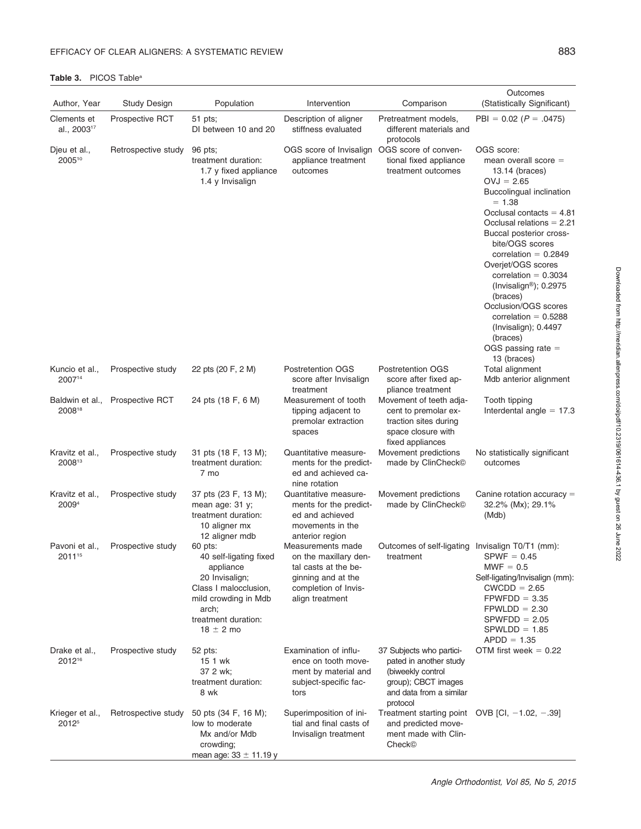#### Author, Year Study Design Population Intervention Comparison **Outcomes** (Statistically Significant) Clements et al., 200317 Prospective RCT 51 pts; DI between 10 and 20 Description of aligner stiffness evaluated Pretreatment models, different materials and protocols  $PBI = 0.02$  ( $P = .0475$ ) Djeu et al., 200510 Retrospective study 96 pts; treatment duration: 1.7 y fixed appliance 1.4 y Invisalign OGS score of Invisalign OGS score of convenappliance treatment outcomes tional fixed appliance treatment outcomes OGS score: mean overall  $score =$ 13.14 (braces)  $OVJ = 2.65$ Buccolingual inclination  $= 1.38$ Occlusal contacts  $= 4.81$ Occlusal relations  $= 2.21$ Buccal posterior crossbite/OGS scores correlation  $= 0.2849$ Overjet/OGS scores  $correlation = 0.3034$ (Invisalign®);  $0.2975$ (braces) Occlusion/OGS scores correlation  $= 0.5288$ (Invisalign); 0.4497 (braces)  $OGS$  passing rate  $=$ 13 (braces) Kuncio et al., 200714 Prospective study 22 pts (20 F, 2 M) Postretention OGS score after Invisalign treatment Postretention OGS score after fixed appliance treatment Total alignment Mdb anterior alignment Baldwin et al., 200818 Prospective RCT 24 pts (18 F, 6 M) Measurement of tooth tipping adjacent to premolar extraction spaces Movement of teeth adjacent to premolar extraction sites during space closure with fixed appliances Tooth tipping Interdental angle  $= 17.3$ Kravitz et al., 200813 Prospective study 31 pts (18 F, 13 M); treatment duration: 7 mo Quantitative measurements for the predicted and achieved canine rotation Movement predictions made by ClinCheck<sup>®</sup> No statistically significant outcomes Kravitz et al., 20094 Prospective study 37 pts (23 F, 13 M); mean age: 31 y; treatment duration: 10 aligner mx 12 aligner mdb Quantitative measurements for the predicted and achieved movements in the anterior region Movement predictions made by ClinCheckG Canine rotation accuracy  $=$ 32.2% (Mx); 29.1% (Mdb) Pavoni et al., 201115 Prospective study 60 pts: 40 self-ligating fixed appliance 20 Invisalign; Class I malocclusion, mild crowding in Mdb arch; treatment duration:  $18 \pm 2$  mo Measurements made on the maxillary dental casts at the beginning and at the completion of Invisalign treatment Outcomes of self-ligating Invisalign T0/T1 (mm): treatment  $SPWF = 0.45$  $MWF = 0.5$ Self-ligating/Invisalign (mm):  $CWCDD = 2.65$  $FPWFDD = 3.35$  $FPWLDD = 2.30$  $SPWFDD = 2.05$  $SPWLDD = 1.85$  $APDD = 1.35$ Drake et al., 201216 Prospective study 52 pts: 15 1 wk 37 2 wk; treatment duration: 8 wk Examination of influence on tooth movement by material and subject-specific factors 37 Subjects who participated in another study (biweekly control group); CBCT images and data from a similar protocol OTM first week  $= 0.22$ Krieger et al., 20125 Retrospective study 50 pts (34 F, 16 M); low to moderate Mx and/or Mdb Superimposition of initial and final casts of Invisalign treatment Treatment starting point OVB [CI, -1.02, -.39] and predicted movement made with Clin-

crowding; mean age:  $33 \pm 11.19$  y

#### Table 3. PICOS Table<sup>a</sup>

CheckG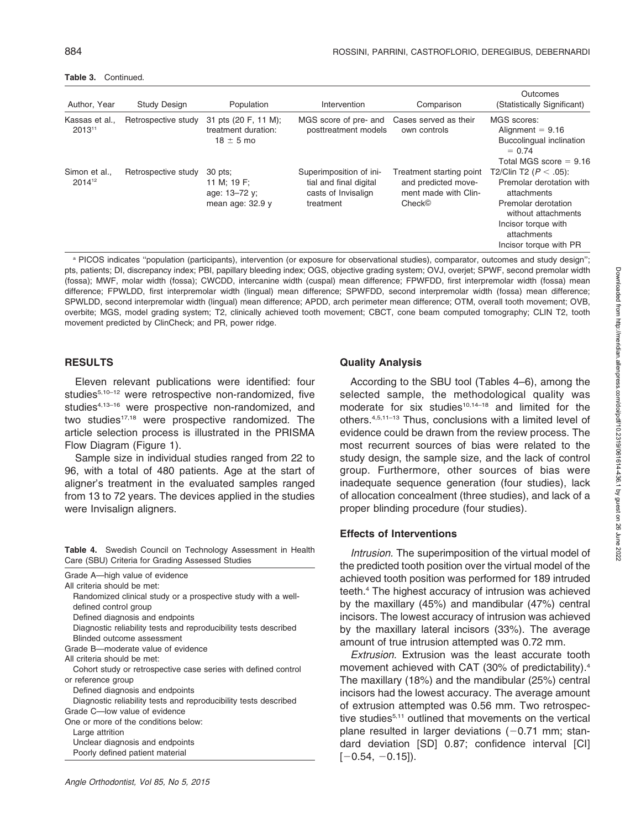Table 3. Continued.

| Author, Year                        | <b>Study Design</b> | Population                                                    | Intervention                                                                          | Comparison                                                                                    | Outcomes<br>(Statistically Significant)                                                                                                                                            |
|-------------------------------------|---------------------|---------------------------------------------------------------|---------------------------------------------------------------------------------------|-----------------------------------------------------------------------------------------------|------------------------------------------------------------------------------------------------------------------------------------------------------------------------------------|
| Kassas et al.,<br>201311            | Retrospective study | 31 pts (20 F, 11 M);<br>treatment duration:<br>$18 \pm 5$ mo  | MGS score of pre- and<br>posttreatment models                                         | Cases served as their<br>own controls                                                         | MGS scores:<br>Alignment $= 9.16$<br>Buccolingual inclination<br>$= 0.74$<br>Total MGS score $= 9.16$                                                                              |
| Simon et al.,<br>2014 <sup>12</sup> | Retrospective study | 30 pts:<br>11 M; 19 F;<br>age: 13-72 y;<br>mean age: $32.9$ y | Superimposition of ini-<br>tial and final digital<br>casts of Invisalign<br>treatment | Treatment starting point<br>and predicted move-<br>ment made with Clin-<br>Check <sup>®</sup> | T2/Clin T2 ( $P < .05$ ):<br>Premolar derotation with<br>attachments<br>Premolar derotation<br>without attachments<br>Incisor torque with<br>attachments<br>Incisor torque with PR |

a PICOS indicates "population (participants), intervention (or exposure for observational studies), comparator, outcomes and study design"; pts, patients; DI, discrepancy index; PBI, papillary bleeding index; OGS, objective grading system; OVJ, overjet; SPWF, second premolar width (fossa); MWF, molar width (fossa); CWCDD, intercanine width (cuspal) mean difference; FPWFDD, first interpremolar width (fossa) mean difference; FPWLDD, first interpremolar width (lingual) mean difference; SPWFDD, second interpremolar width (fossa) mean difference; SPWLDD, second interpremolar width (lingual) mean difference; APDD, arch perimeter mean difference; OTM, overall tooth movement; OVB, overbite; MGS, model grading system; T2, clinically achieved tooth movement; CBCT, cone beam computed tomography; CLIN T2, tooth movement predicted by ClinCheck; and PR, power ridge.

## **RESULTS**

Eleven relevant publications were identified: four studies<sup>5,10-12</sup> were retrospective non-randomized, five studies<sup>4,13-16</sup> were prospective non-randomized, and two studies $17,18$  were prospective randomized. The article selection process is illustrated in the PRISMA Flow Diagram (Figure 1).

Sample size in individual studies ranged from 22 to 96, with a total of 480 patients. Age at the start of aligner's treatment in the evaluated samples ranged from 13 to 72 years. The devices applied in the studies were Invisalign aligners.

Table 4. Swedish Council on Technology Assessment in Health Care (SBU) Criteria for Grading Assessed Studies

| Grade A—high value of evidence<br>All criteria should be met:<br>Randomized clinical study or a prospective study with a well-<br>defined control group<br>Defined diagnosis and endpoints<br>Diagnostic reliability tests and reproducibility tests described<br>Blinded outcome assessment |
|----------------------------------------------------------------------------------------------------------------------------------------------------------------------------------------------------------------------------------------------------------------------------------------------|
| Grade B-moderate value of evidence                                                                                                                                                                                                                                                           |
| All criteria should be met:                                                                                                                                                                                                                                                                  |
| Cohort study or retrospective case series with defined control                                                                                                                                                                                                                               |
| or reference group                                                                                                                                                                                                                                                                           |
| Defined diagnosis and endpoints                                                                                                                                                                                                                                                              |
| Diagnostic reliability tests and reproducibility tests described                                                                                                                                                                                                                             |
| Grade C-low value of evidence                                                                                                                                                                                                                                                                |
| One or more of the conditions below:                                                                                                                                                                                                                                                         |
| Large attrition                                                                                                                                                                                                                                                                              |
| Unclear diagnosis and endpoints                                                                                                                                                                                                                                                              |
| Poorly defined patient material                                                                                                                                                                                                                                                              |

## Quality Analysis

According to the SBU tool (Tables 4–6), among the selected sample, the methodological quality was moderate for six studies<sup>10,14–18</sup> and limited for the others.4,5,11–13 Thus, conclusions with a limited level of evidence could be drawn from the review process. The most recurrent sources of bias were related to the study design, the sample size, and the lack of control group. Furthermore, other sources of bias were inadequate sequence generation (four studies), lack of allocation concealment (three studies), and lack of a proper blinding procedure (four studies).

## Effects of Interventions

Intrusion. The superimposition of the virtual model of the predicted tooth position over the virtual model of the achieved tooth position was performed for 189 intruded teeth.4 The highest accuracy of intrusion was achieved by the maxillary (45%) and mandibular (47%) central incisors. The lowest accuracy of intrusion was achieved by the maxillary lateral incisors (33%). The average amount of true intrusion attempted was 0.72 mm.

Extrusion. Extrusion was the least accurate tooth movement achieved with CAT (30% of predictability).4 The maxillary (18%) and the mandibular (25%) central incisors had the lowest accuracy. The average amount of extrusion attempted was 0.56 mm. Two retrospective studies<sup>5,11</sup> outlined that movements on the vertical plane resulted in larger deviations  $(-0.71$  mm; standard deviation [SD] 0.87; confidence interval [CI]  $[-0.54, -0.15]$ .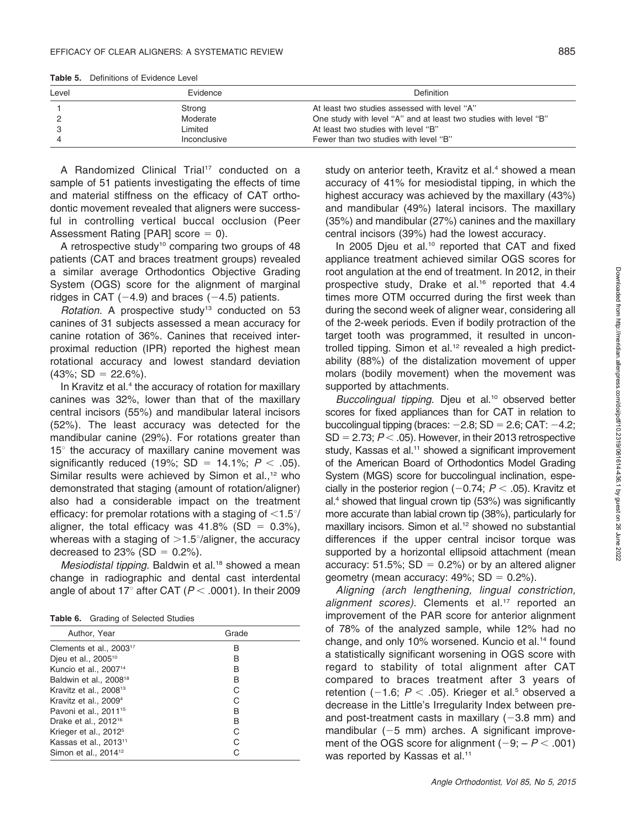Table 5. Definitions of Evidence Level

A Randomized Clinical Trial<sup>17</sup> conducted on a sample of 51 patients investigating the effects of time and material stiffness on the efficacy of CAT orthodontic movement revealed that aligners were successful in controlling vertical buccal occlusion (Peer Assessment Rating [PAR] score  $= 0$ ).

A retrospective study<sup>10</sup> comparing two groups of 48 patients (CAT and braces treatment groups) revealed a similar average Orthodontics Objective Grading System (OGS) score for the alignment of marginal ridges in CAT  $(-4.9)$  and braces  $(-4.5)$  patients.

Rotation. A prospective study<sup>13</sup> conducted on 53 canines of 31 subjects assessed a mean accuracy for canine rotation of 36%. Canines that received interproximal reduction (IPR) reported the highest mean rotational accuracy and lowest standard deviation  $(43\%; SD = 22.6\%).$ 

In Kravitz et al.<sup>4</sup> the accuracy of rotation for maxillary canines was 32%, lower than that of the maxillary central incisors (55%) and mandibular lateral incisors (52%). The least accuracy was detected for the mandibular canine (29%). For rotations greater than  $15^\circ$  the accuracy of maxillary canine movement was significantly reduced (19%; SD = 14.1%;  $P < .05$ ). Similar results were achieved by Simon et al., $12$  who demonstrated that staging (amount of rotation/aligner) also had a considerable impact on the treatment efficacy: for premolar rotations with a staging of  $\langle 1.5^\circ/$ aligner, the total efficacy was  $41.8\%$  (SD = 0.3%), whereas with a staging of  $>1.5^{\circ}/\text{align}$  the accuracy decreased to 23% (SD =  $0.2%$ ).

Mesiodistal tipping. Baldwin et al.<sup>18</sup> showed a mean change in radiographic and dental cast interdental angle of about 17° after CAT ( $P < .0001$ ). In their 2009

| Table 6. | Grading of Selected Studies |  |  |
|----------|-----------------------------|--|--|
|----------|-----------------------------|--|--|

| Author, Year                        | Grade |
|-------------------------------------|-------|
| Clements et al., 2003 <sup>17</sup> | B     |
| Djeu et al., 2005 <sup>10</sup>     | B     |
| Kuncio et al., 2007 <sup>14</sup>   | B     |
| Baldwin et al., 2008 <sup>18</sup>  | в     |
| Kravitz et al., 2008 <sup>13</sup>  | C     |
| Kravitz et al., 2009 <sup>4</sup>   |       |
| Pavoni et al., 2011 <sup>15</sup>   | B     |
| Drake et al., 2012 <sup>16</sup>    | B     |
| Krieger et al., 2012 <sup>5</sup>   |       |
| Kassas et al., 2013 <sup>11</sup>   |       |
| Simon et al., 2014 <sup>12</sup>    |       |

study on anterior teeth, Kravitz et al.<sup>4</sup> showed a mean accuracy of 41% for mesiodistal tipping, in which the highest accuracy was achieved by the maxillary (43%) and mandibular (49%) lateral incisors. The maxillary (35%) and mandibular (27%) canines and the maxillary central incisors (39%) had the lowest accuracy.

In 2005 Djeu et al.<sup>10</sup> reported that CAT and fixed appliance treatment achieved similar OGS scores for root angulation at the end of treatment. In 2012, in their prospective study, Drake et al.16 reported that 4.4 times more OTM occurred during the first week than during the second week of aligner wear, considering all of the 2-week periods. Even if bodily protraction of the target tooth was programmed, it resulted in uncontrolled tipping. Simon et al.<sup>12</sup> revealed a high predictability (88%) of the distalization movement of upper molars (bodily movement) when the movement was supported by attachments.

Buccolingual tipping. Djeu et al.<sup>10</sup> observed better scores for fixed appliances than for CAT in relation to buccolingual tipping (braces:  $-2.8$ ; SD = 2.6; CAT:  $-4.2$ ;  $SD = 2.73$ ;  $P < .05$ ). However, in their 2013 retrospective study, Kassas et al.<sup>11</sup> showed a significant improvement of the American Board of Orthodontics Model Grading System (MGS) score for buccolingual inclination, especially in the posterior region  $(-0.74; P < .05)$ . Kravitz et al.4 showed that lingual crown tip (53%) was significantly more accurate than labial crown tip (38%), particularly for maxillary incisors. Simon et al.<sup>12</sup> showed no substantial differences if the upper central incisor torque was supported by a horizontal ellipsoid attachment (mean accuracy: 51.5%;  $SD = 0.2%$ ) or by an altered aligner geometry (mean accuracy:  $49\%$ ; SD = 0.2%).

Aligning (arch lengthening, lingual constriction, alignment scores). Clements et al.<sup>17</sup> reported an improvement of the PAR score for anterior alignment of 78% of the analyzed sample, while 12% had no change, and only 10% worsened. Kuncio et al.14 found a statistically significant worsening in OGS score with regard to stability of total alignment after CAT compared to braces treatment after 3 years of retention (-1.6;  $P < .05$ ). Krieger et al.<sup>5</sup> observed a decrease in the Little's Irregularity Index between preand post-treatment casts in maxillary  $(-3.8 \text{ mm})$  and mandibular  $(-5 \text{ mm})$  arches. A significant improvement of the OGS score for alignment  $(-9; -P < .001)$ was reported by Kassas et al.<sup>11</sup>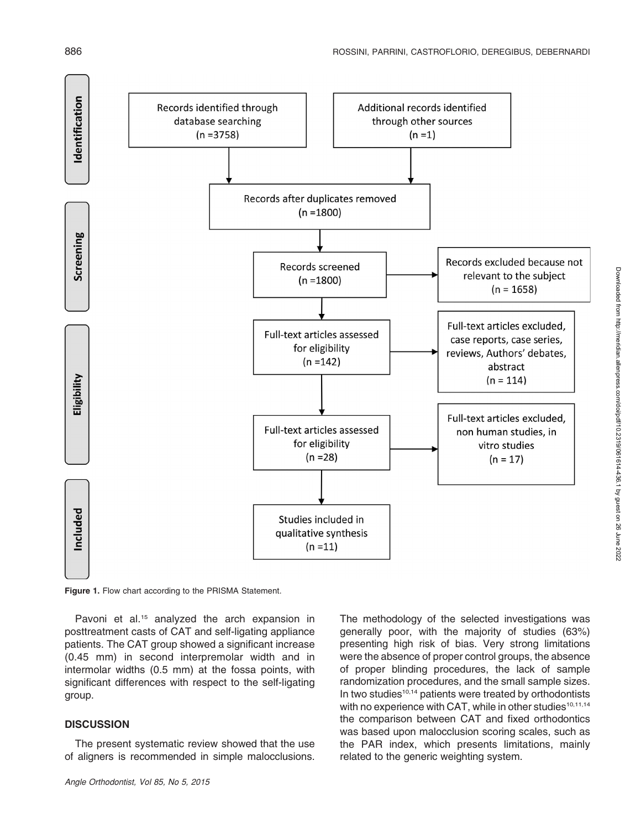

Figure 1. Flow chart according to the PRISMA Statement.

Pavoni et al.<sup>15</sup> analyzed the arch expansion in posttreatment casts of CAT and self-ligating appliance patients. The CAT group showed a significant increase (0.45 mm) in second interpremolar width and in intermolar widths (0.5 mm) at the fossa points, with significant differences with respect to the self-ligating group.

#### **DISCUSSION**

The present systematic review showed that the use of aligners is recommended in simple malocclusions.

Angle Orthodontist, Vol 85, No 5, 2015

The methodology of the selected investigations was generally poor, with the majority of studies (63%) presenting high risk of bias. Very strong limitations were the absence of proper control groups, the absence of proper blinding procedures, the lack of sample randomization procedures, and the small sample sizes. In two studies<sup>10,14</sup> patients were treated by orthodontists with no experience with CAT, while in other studies<sup>10,11,14</sup> the comparison between CAT and fixed orthodontics was based upon malocclusion scoring scales, such as the PAR index, which presents limitations, mainly related to the generic weighting system.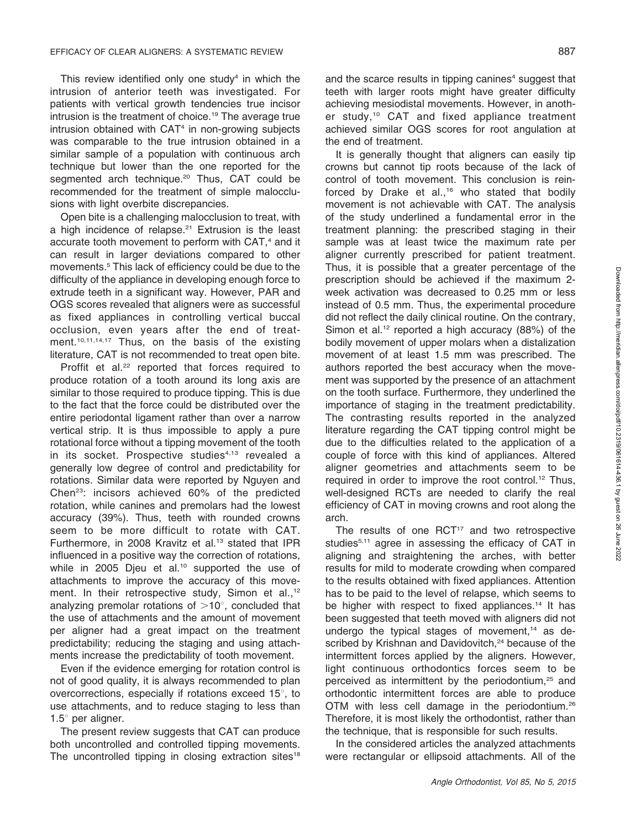This review identified only one study $4$  in which the intrusion of anterior teeth was investigated. For patients with vertical growth tendencies true incisor intrusion is the treatment of choice.<sup>19</sup> The average true intrusion obtained with CAT<sup>4</sup> in non-growing subjects was comparable to the true intrusion obtained in a similar sample of a population with continuous arch technique but lower than the one reported for the segmented arch technique.<sup>20</sup> Thus, CAT could be recommended for the treatment of simple malocclusions with light overbite discrepancies.

Open bite is a challenging malocclusion to treat, with a high incidence of relapse.<sup>21</sup> Extrusion is the least accurate tooth movement to perform with CAT,<sup>4</sup> and it can result in larger deviations compared to other movements.5 This lack of efficiency could be due to the difficulty of the appliance in developing enough force to extrude teeth in a significant way. However, PAR and OGS scores revealed that aligners were as successful as fixed appliances in controlling vertical buccal occlusion, even years after the end of treatment.<sup>10,11,14,17</sup> Thus, on the basis of the existing literature, CAT is not recommended to treat open bite.

Proffit et al.<sup>22</sup> reported that forces required to produce rotation of a tooth around its long axis are similar to those required to produce tipping. This is due to the fact that the force could be distributed over the entire periodontal ligament rather than over a narrow vertical strip. It is thus impossible to apply a pure rotational force without a tipping movement of the tooth in its socket. Prospective studies<sup>4,13</sup> revealed a generally low degree of control and predictability for rotations. Similar data were reported by Nguyen and Chen23: incisors achieved 60% of the predicted rotation, while canines and premolars had the lowest accuracy (39%). Thus, teeth with rounded crowns seem to be more difficult to rotate with CAT. Furthermore, in 2008 Kravitz et al.<sup>13</sup> stated that IPR influenced in a positive way the correction of rotations, while in 2005 Djeu et al.<sup>10</sup> supported the use of attachments to improve the accuracy of this movement. In their retrospective study, Simon et al.,<sup>12</sup> analyzing premolar rotations of  $>10^\circ$ , concluded that the use of attachments and the amount of movement per aligner had a great impact on the treatment predictability; reducing the staging and using attachments increase the predictability of tooth movement.

Even if the evidence emerging for rotation control is not of good quality, it is always recommended to plan overcorrections, especially if rotations exceed  $15^\circ$ , to use attachments, and to reduce staging to less than 1.5 $^{\circ}$  per aligner.

The present review suggests that CAT can produce both uncontrolled and controlled tipping movements. The uncontrolled tipping in closing extraction sites<sup>18</sup> and the scarce results in tipping canines<sup>4</sup> suggest that teeth with larger roots might have greater difficulty achieving mesiodistal movements. However, in another study,10 CAT and fixed appliance treatment achieved similar OGS scores for root angulation at the end of treatment.

It is generally thought that aligners can easily tip crowns but cannot tip roots because of the lack of control of tooth movement. This conclusion is reinforced by Drake et al.,<sup>16</sup> who stated that bodily movement is not achievable with CAT. The analysis of the study underlined a fundamental error in the treatment planning: the prescribed staging in their sample was at least twice the maximum rate per aligner currently prescribed for patient treatment. Thus, it is possible that a greater percentage of the prescription should be achieved if the maximum 2 week activation was decreased to 0.25 mm or less instead of 0.5 mm. Thus, the experimental procedure did not reflect the daily clinical routine. On the contrary, Simon et al.<sup>12</sup> reported a high accuracy  $(88%)$  of the bodily movement of upper molars when a distalization movement of at least 1.5 mm was prescribed. The authors reported the best accuracy when the movement was supported by the presence of an attachment on the tooth surface. Furthermore, they underlined the importance of staging in the treatment predictability. The contrasting results reported in the analyzed literature regarding the CAT tipping control might be due to the difficulties related to the application of a couple of force with this kind of appliances. Altered aligner geometries and attachments seem to be required in order to improve the root control.<sup>12</sup> Thus, well-designed RCTs are needed to clarify the real efficiency of CAT in moving crowns and root along the arch.

The results of one RCT<sup>17</sup> and two retrospective studies<sup>5,11</sup> agree in assessing the efficacy of CAT in aligning and straightening the arches, with better results for mild to moderate crowding when compared to the results obtained with fixed appliances. Attention has to be paid to the level of relapse, which seems to be higher with respect to fixed appliances.<sup>14</sup> It has been suggested that teeth moved with aligners did not undergo the typical stages of movement, $14$  as described by Krishnan and Davidovitch,<sup>24</sup> because of the intermittent forces applied by the aligners. However, light continuous orthodontics forces seem to be perceived as intermittent by the periodontium,<sup>25</sup> and orthodontic intermittent forces are able to produce OTM with less cell damage in the periodontium.<sup>26</sup> Therefore, it is most likely the orthodontist, rather than the technique, that is responsible for such results.

In the considered articles the analyzed attachments were rectangular or ellipsoid attachments. All of the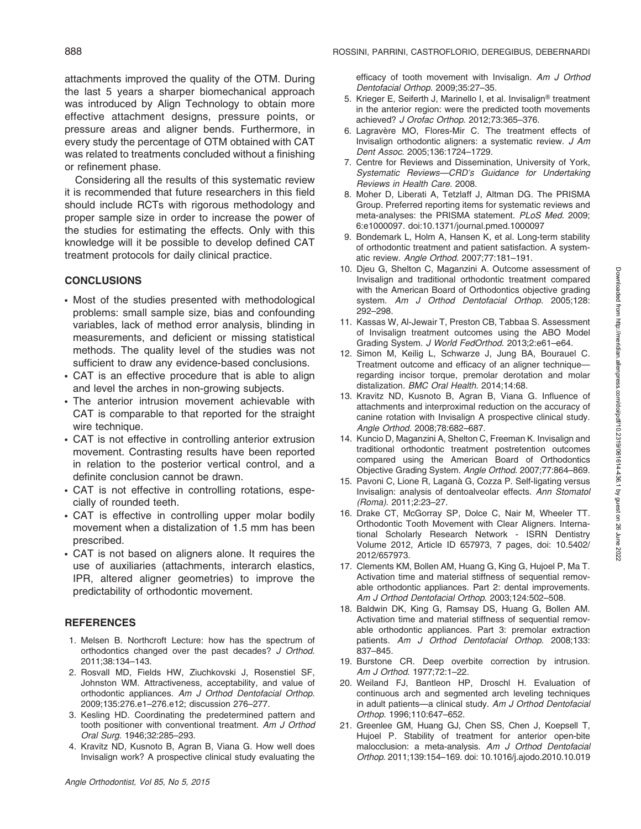attachments improved the quality of the OTM. During the last 5 years a sharper biomechanical approach was introduced by Align Technology to obtain more effective attachment designs, pressure points, or pressure areas and aligner bends. Furthermore, in every study the percentage of OTM obtained with CAT was related to treatments concluded without a finishing or refinement phase.

Considering all the results of this systematic review it is recommended that future researchers in this field should include RCTs with rigorous methodology and proper sample size in order to increase the power of the studies for estimating the effects. Only with this knowledge will it be possible to develop defined CAT treatment protocols for daily clinical practice.

#### **CONCLUSIONS**

- Most of the studies presented with methodological problems: small sample size, bias and confounding variables, lack of method error analysis, blinding in measurements, and deficient or missing statistical methods. The quality level of the studies was not sufficient to draw any evidence-based conclusions.
- CAT is an effective procedure that is able to align and level the arches in non-growing subjects.
- The anterior intrusion movement achievable with CAT is comparable to that reported for the straight wire technique.
- CAT is not effective in controlling anterior extrusion movement. Contrasting results have been reported in relation to the posterior vertical control, and a definite conclusion cannot be drawn.
- CAT is not effective in controlling rotations, especially of rounded teeth.
- CAT is effective in controlling upper molar bodily movement when a distalization of 1.5 mm has been prescribed.
- CAT is not based on aligners alone. It requires the use of auxiliaries (attachments, interarch elastics, IPR, altered aligner geometries) to improve the predictability of orthodontic movement.

#### **REFERENCES**

- 1. Melsen B. Northcroft Lecture: how has the spectrum of orthodontics changed over the past decades? J Orthod. 2011;38:134–143.
- 2. Rosvall MD, Fields HW, Ziuchkovski J, Rosenstiel SF, Johnston WM. Attractiveness, acceptability, and value of orthodontic appliances. Am J Orthod Dentofacial Orthop. 2009;135:276.e1–276.e12; discussion 276–277.
- 3. Kesling HD. Coordinating the predetermined pattern and tooth positioner with conventional treatment. Am J Orthod Oral Surg. 1946;32:285–293.
- 4. Kravitz ND, Kusnoto B, Agran B, Viana G. How well does Invisalign work? A prospective clinical study evaluating the

efficacy of tooth movement with Invisalign. Am J Orthod Dentofacial Orthop. 2009;35:27–35.

- 5. Krieger E, Seiferth J, Marinello I, et al. Invisalign<sup>®</sup> treatment in the anterior region: were the predicted tooth movements achieved? J Orofac Orthop. 2012;73:365–376.
- 6. Lagravère MO, Flores-Mir C. The treatment effects of Invisalign orthodontic aligners: a systematic review. J Am Dent Assoc. 2005;136:1724–1729.
- 7. Centre for Reviews and Dissemination, University of York, Systematic Reviews—CRD's Guidance for Undertaking Reviews in Health Care. 2008.
- 8. Moher D, Liberati A, Tetzlaff J, Altman DG. The PRISMA Group. Preferred reporting items for systematic reviews and meta-analyses: the PRISMA statement. PLoS Med. 2009; 6:e1000097. doi:10.1371/journal.pmed.1000097
- 9. Bondemark L, Holm A, Hansen K, et al. Long-term stability of orthodontic treatment and patient satisfaction. A systematic review. Angle Orthod. 2007;77:181–191.
- 10. Djeu G, Shelton C, Maganzini A. Outcome assessment of Invisalign and traditional orthodontic treatment compared with the American Board of Orthodontics objective grading system. Am J Orthod Dentofacial Orthop. 2005;128: 292–298.
- 11. Kassas W, Al-Jewair T, Preston CB, Tabbaa S. Assessment of Invisalign treatment outcomes using the ABO Model Grading System. J World FedOrthod. 2013;2:e61–e64.
- 12. Simon M, Keilig L, Schwarze J, Jung BA, Bourauel C. Treatment outcome and efficacy of an aligner technique regarding incisor torque, premolar derotation and molar distalization. BMC Oral Health. 2014;14:68.
- 13. Kravitz ND, Kusnoto B, Agran B, Viana G. Influence of attachments and interproximal reduction on the accuracy of canine rotation with Invisalign A prospective clinical study. Angle Orthod. 2008;78:682–687.
- 14. Kuncio D, Maganzini A, Shelton C, Freeman K. Invisalign and traditional orthodontic treatment postretention outcomes compared using the American Board of Orthodontics Objective Grading System. Angle Orthod. 2007;77:864–869.
- 15. Pavoni C, Lione R, Laganà G, Cozza P. Self-ligating versus Invisalign: analysis of dentoalveolar effects. Ann Stomatol (Roma). 2011;2:23–27.
- 16. Drake CT, McGorray SP, Dolce C, Nair M, Wheeler TT. Orthodontic Tooth Movement with Clear Aligners. International Scholarly Research Network - ISRN Dentistry Volume 2012, Article ID 657973, 7 pages, doi: 10.5402/ 2012/657973.
- 17. Clements KM, Bollen AM, Huang G, King G, Hujoel P, Ma T. Activation time and material stiffness of sequential removable orthodontic appliances. Part 2: dental improvements. Am J Orthod Dentofacial Orthop. 2003;124:502–508.
- 18. Baldwin DK, King G, Ramsay DS, Huang G, Bollen AM. Activation time and material stiffness of sequential removable orthodontic appliances. Part 3: premolar extraction patients. Am J Orthod Dentofacial Orthop. 2008;133: 837–845.
- 19. Burstone CR. Deep overbite correction by intrusion. Am J Orthod. 1977;72:1–22.
- 20. Weiland FJ, Bantleon HP, Droschl H. Evaluation of continuous arch and segmented arch leveling techniques in adult patients—a clinical study. Am J Orthod Dentofacial Orthop. 1996;110:647–652.
- 21. Greenlee GM, Huang GJ, Chen SS, Chen J, Koepsell T, Hujoel P. Stability of treatment for anterior open-bite malocclusion: a meta-analysis. Am J Orthod Dentofacial Orthop. 2011;139:154–169. doi: 10.1016/j.ajodo.2010.10.019